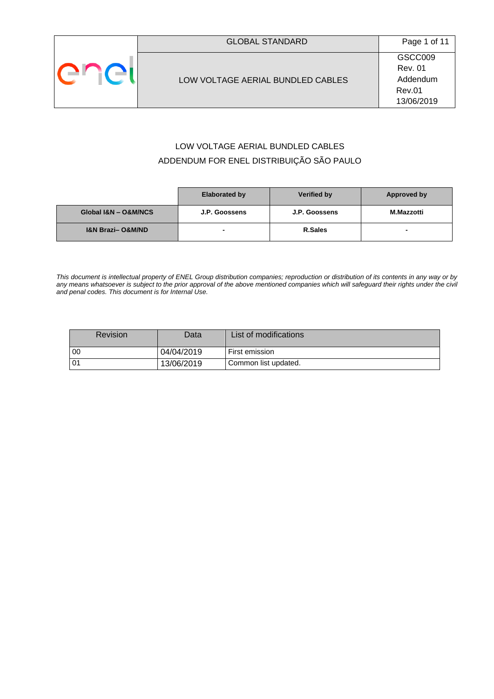# LOW VOLTAGE AERIAL BUNDLED CABLES ADDENDUM FOR ENEL DISTRIBUIÇÃO SÃO PAULO

|                                 | <b>Elaborated by</b>     | Verified by   | Approved by              |
|---------------------------------|--------------------------|---------------|--------------------------|
| Global I&N - O&M/NCS            | J.P. Goossens            | J.P. Goossens | <b>M.Mazzotti</b>        |
| <b>I&amp;N Brazi-O&amp;M/ND</b> | $\overline{\phantom{0}}$ | R.Sales       | $\overline{\phantom{0}}$ |

*This document is intellectual property of ENEL Group distribution companies; reproduction or distribution of its contents in any way or by any means whatsoever is subject to the prior approval of the above mentioned companies which will safeguard their rights under the civil and penal codes. This document is for Internal Use.*

|                 | <b>Revision</b> | Data       | List of modifications |
|-----------------|-----------------|------------|-----------------------|
| - 00            |                 | 04/04/2019 | First emission        |
| 10 <sup>4</sup> |                 | 13/06/2019 | Common list updated.  |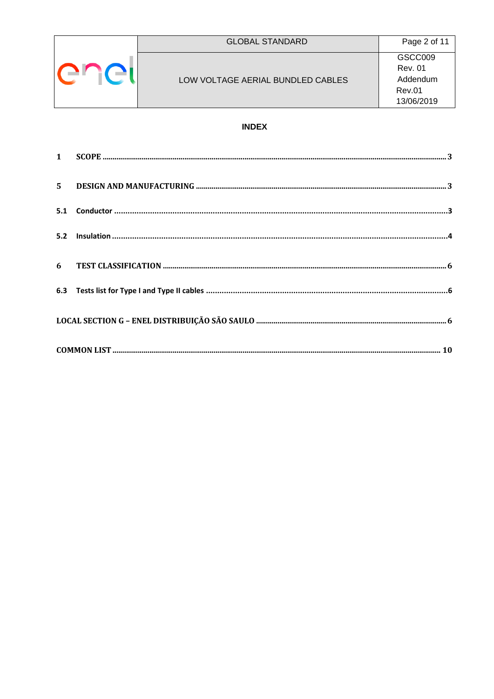|  | <b>GLOBAL STANDARD</b>            | Page 2 of 11   |
|--|-----------------------------------|----------------|
|  |                                   | GSCC009        |
|  |                                   | <b>Rev. 01</b> |
|  | LOW VOLTAGE AERIAL BUNDLED CABLES | Addendum       |
|  |                                   | <b>Rev.01</b>  |
|  |                                   | 13/06/2019     |

# **INDEX**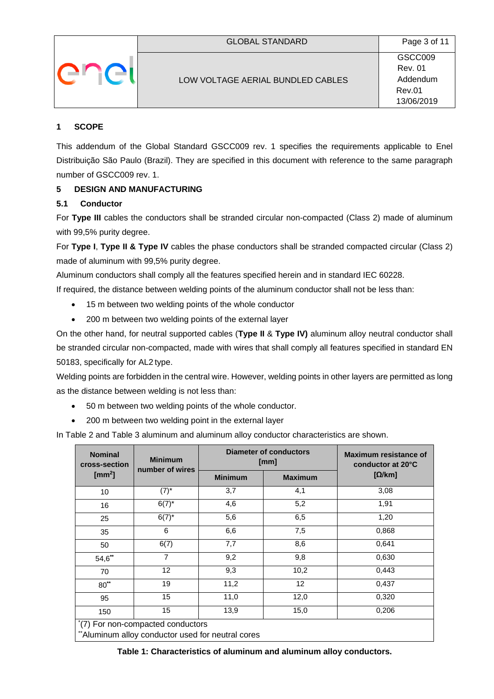

## <span id="page-2-0"></span>**1 SCOPE**

This addendum of the Global Standard GSCC009 rev. 1 specifies the requirements applicable to Enel Distribuição São Paulo (Brazil). They are specified in this document with reference to the same paragraph number of GSCC009 rev. 1.

# <span id="page-2-1"></span>**5 DESIGN AND MANUFACTURING**

## <span id="page-2-2"></span>**5.1 Conductor**

For **Type III** cables the conductors shall be stranded circular non-compacted (Class 2) made of aluminum with 99,5% purity degree.

For **Type I**, **Type II & Type IV** cables the phase conductors shall be stranded compacted circular (Class 2) made of aluminum with 99,5% purity degree.

Aluminum conductors shall comply all the features specified herein and in standard IEC 60228.

If required, the distance between welding points of the aluminum conductor shall not be less than:

- 15 m between two welding points of the whole conductor
- 200 m between two welding points of the external layer

On the other hand, for neutral supported cables (**Type II** & **Type IV)** aluminum alloy neutral conductor shall be stranded circular non-compacted, made with wires that shall comply all features specified in standard EN 50183, specifically for AL2 type.

Welding points are forbidden in the central wire. However, welding points in other layers are permitted as long as the distance between welding is not less than:

- 50 m between two welding points of the whole conductor.
- 200 m between two welding point in the external layer

In Table 2 and Table 3 aluminum and aluminum alloy conductor characteristics are shown.

| <b>Nominal</b><br>cross-section  | <b>Minimum</b><br>number of wires |                | <b>Diameter of conductors</b><br>[mm] | Maximum resistance of<br>conductor at 20°C |  |
|----------------------------------|-----------------------------------|----------------|---------------------------------------|--------------------------------------------|--|
| $\text{[mm}^2\text{]}$           |                                   | <b>Minimum</b> | <b>Maximum</b>                        | $[\Omega/km]$                              |  |
| 10                               | $(7)^*$                           | 3,7            | 4,1                                   | 3,08                                       |  |
| 16                               | $6(7)^{*}$                        | 4,6            | 5,2                                   | 1,91                                       |  |
| 25                               | $6(7)^{*}$                        | 5,6            | 6,5                                   | 1,20                                       |  |
| 35                               | 6                                 | 6,6            | 7,5                                   | 0,868                                      |  |
| 50                               | 6(7)                              | 7,7            | 8,6                                   | 0,641                                      |  |
| $54,6^{**}$                      | 7                                 | 9,2            | 9,8                                   | 0,630                                      |  |
| 70                               | $12 \overline{ }$                 | 9,3            | 10,2                                  | 0,443                                      |  |
| $80**$                           | 19                                | 11,2           | 12                                    | 0,437                                      |  |
| 95                               | 15                                | 11,0           | 12,0                                  | 0,320                                      |  |
| 150                              | 15                                | 13,9           | 15,0                                  | 0,206                                      |  |
| (7) For non-compacted conductors |                                   |                |                                       |                                            |  |

\*Aluminum alloy conductor used for neutral cores

**Table 1: Characteristics of aluminum and aluminum alloy conductors.**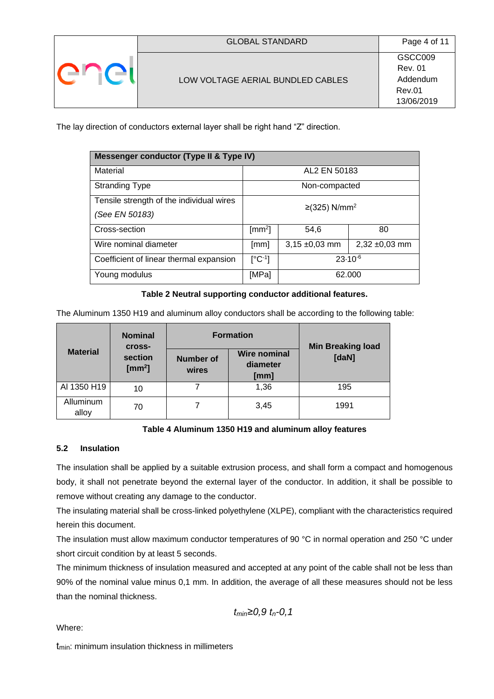|  | <b>GLOBAL STANDARD</b>            | Page 4 of 11                          |
|--|-----------------------------------|---------------------------------------|
|  |                                   | GSCC009<br><b>Rev. 01</b><br>Addendum |
|  | LOW VOLTAGE AERIAL BUNDLED CABLES | <b>Rev.01</b><br>13/06/2019           |

The lay direction of conductors external layer shall be right hand "Z" direction.

| Messenger conductor (Type II & Type IV)                                                 |                    |                             |              |  |  |
|-----------------------------------------------------------------------------------------|--------------------|-----------------------------|--------------|--|--|
| Material                                                                                |                    | AL2 EN 50183                |              |  |  |
| <b>Stranding Type</b>                                                                   | Non-compacted      |                             |              |  |  |
| Tensile strength of the individual wires<br>(See EN 50183)                              |                    | $≥$ (325) N/mm <sup>2</sup> |              |  |  |
|                                                                                         |                    |                             |              |  |  |
| Cross-section                                                                           | $\text{[mm}^2$     | 54,6                        | 80           |  |  |
| Wire nominal diameter<br>$3,15 \pm 0,03$ mm<br>$2,32 \pm 0,03$ mm<br>$\lceil mm \rceil$ |                    |                             |              |  |  |
| Coefficient of linear thermal expansion                                                 | $[^{\circ}C^{-1}]$ |                             | $23.10^{-6}$ |  |  |
| Young modulus                                                                           | [MPa]              | 62.000                      |              |  |  |

#### **Table 2 Neutral supporting conductor additional features.**

The Aluminum 1350 H19 and aluminum alloy conductors shall be according to the following table:

|                    | <b>Nominal</b><br><b>Cross-</b>   |  | <b>Formation</b>                        | <b>Min Breaking load</b> |  |  |
|--------------------|-----------------------------------|--|-----------------------------------------|--------------------------|--|--|
| <b>Material</b>    | section<br>$\text{[mm}^2\text{]}$ |  | <b>Wire nominal</b><br>diameter<br>[mm] | [daN]                    |  |  |
| AI 1350 H19        | 10                                |  | 1,36                                    | 195                      |  |  |
| Alluminum<br>alloy | 70                                |  | 3,45                                    | 1991                     |  |  |

#### **Table 4 Aluminum 1350 H19 and aluminum alloy features**

#### <span id="page-3-0"></span>**5.2 Insulation**

The insulation shall be applied by a suitable extrusion process, and shall form a compact and homogenous body, it shall not penetrate beyond the external layer of the conductor. In addition, it shall be possible to remove without creating any damage to the conductor.

The insulating material shall be cross-linked polyethylene (XLPE), compliant with the characteristics required herein this document.

The insulation must allow maximum conductor temperatures of 90 °C in normal operation and 250 °C under short circuit condition by at least 5 seconds.

The minimum thickness of insulation measured and accepted at any point of the cable shall not be less than 90% of the nominal value minus 0,1 mm. In addition, the average of all these measures should not be less than the nominal thickness.

$$
t_{\text{min}} \ge 0, 9 \ t_{n} - 0, 1
$$

Where:

 $t_{min}$ : minimum insulation thickness in millimeters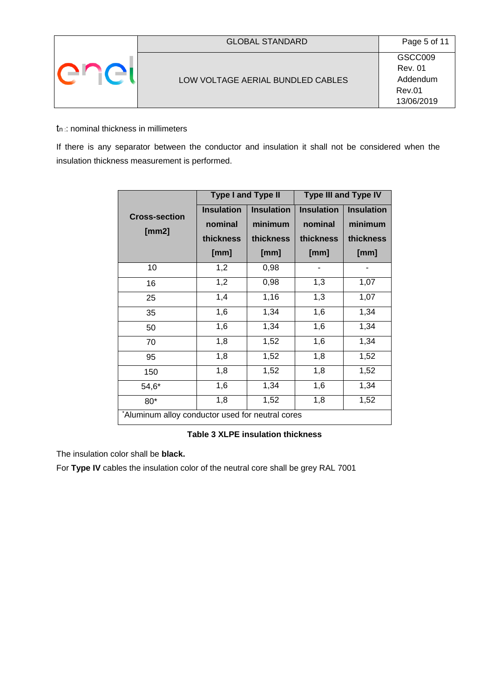|  | <b>GLOBAL STANDARD</b>            | Page 5 of 11              |
|--|-----------------------------------|---------------------------|
|  |                                   | GSCC009<br><b>Rev. 01</b> |
|  | LOW VOLTAGE AERIAL BUNDLED CABLES | Addendum<br><b>Rev.01</b> |
|  |                                   | 13/06/2019                |

## $t_n$ : nominal thickness in millimeters

If there is any separator between the conductor and insulation it shall not be considered when the insulation thickness measurement is performed.

|                                                  | <b>Type I and Type II</b>                         |                                                   | <b>Type III and Type IV</b>                       |                                                   |  |
|--------------------------------------------------|---------------------------------------------------|---------------------------------------------------|---------------------------------------------------|---------------------------------------------------|--|
| <b>Cross-section</b><br>[mm2]                    | <b>Insulation</b><br>nominal<br>thickness<br>[mm] | <b>Insulation</b><br>minimum<br>thickness<br>[mm] | <b>Insulation</b><br>nominal<br>thickness<br>[mm] | <b>Insulation</b><br>minimum<br>thickness<br>[mm] |  |
| 10                                               | 1,2                                               | 0,98                                              |                                                   |                                                   |  |
| 16                                               | 1,2                                               | 0,98                                              | 1,3                                               | 1,07                                              |  |
| 25                                               | 1,4                                               | 1,16                                              | 1,3                                               | 1,07                                              |  |
| 35                                               | 1,6                                               | 1,34                                              | 1,6                                               | 1,34                                              |  |
| 50                                               | 1,6                                               | 1,34                                              | 1,6                                               | 1,34                                              |  |
| 70                                               | 1,8                                               | 1,52                                              | 1,6                                               | 1,34                                              |  |
| 95                                               | 1,8                                               | 1,52                                              | 1,8                                               | 1,52                                              |  |
| 150                                              | 1,8                                               | 1,52                                              | 1,8                                               | 1,52                                              |  |
| $54,6*$                                          | 1,6                                               | 1,34                                              | 1,6                                               | 1,34                                              |  |
| 80*                                              | 1,8                                               | 1,52                                              | 1,8                                               | 1,52                                              |  |
| *Aluminum alloy conductor used for neutral cores |                                                   |                                                   |                                                   |                                                   |  |

# **Table 3 XLPE insulation thickness**

The insulation color shall be **black.** 

For **Type IV** cables the insulation color of the neutral core shall be grey RAL 7001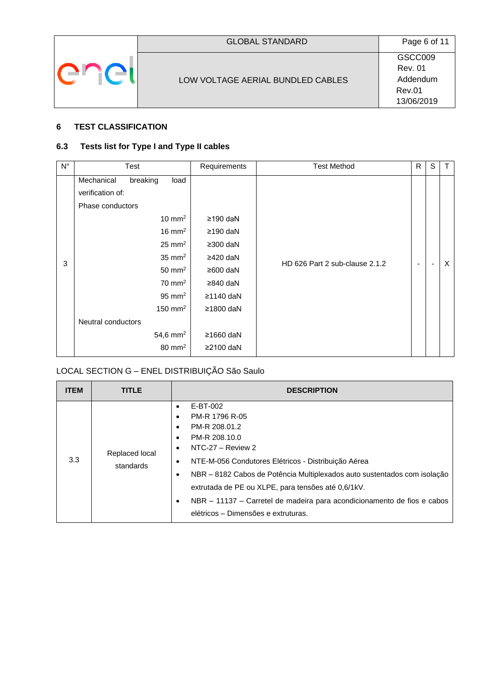## <span id="page-5-0"></span>**6 TEST CLASSIFICATION**

# <span id="page-5-1"></span>**6.3 Tests list for Type I and Type II cables**

| $N^{\circ}$ | Test                                                                                                                                                                                                                                                                                           | Requirements                                                                                                              | <b>Test Method</b>             | R | S | T        |
|-------------|------------------------------------------------------------------------------------------------------------------------------------------------------------------------------------------------------------------------------------------------------------------------------------------------|---------------------------------------------------------------------------------------------------------------------------|--------------------------------|---|---|----------|
| 3           | breaking<br>Mechanical<br>load<br>verification of:<br>Phase conductors<br>$10 \text{ mm}^2$<br>$16 \text{ mm}^2$<br>$25 \text{ mm}^2$<br>$35 \text{ mm}^2$<br>$50 \text{ mm}^2$<br>$70 \text{ mm}^2$<br>$95 \text{ mm}^2$<br>150 mm <sup>2</sup><br>Neutral conductors<br>54,6 mm <sup>2</sup> | $≥190$ daN<br>$≥190$ daN<br>≥300 daN<br>$\geq$ 420 daN<br>≥600 daN<br>≥840 daN<br>$≥1140$ daN<br>≥1800 daN<br>$≥1660$ daN | HD 626 Part 2 sub-clause 2.1.2 | ٠ |   | $\times$ |
|             | $80 \text{ mm}^2$                                                                                                                                                                                                                                                                              | $≥2100$ daN                                                                                                               |                                |   |   |          |

# <span id="page-5-2"></span>LOCAL SECTION G – ENEL DISTRIBUIÇÃO São Saulo

| <b>ITEM</b> | <b>TITLE</b>                | <b>DESCRIPTION</b>                                                                                                                                                                                                                                                                                                                                                                           |
|-------------|-----------------------------|----------------------------------------------------------------------------------------------------------------------------------------------------------------------------------------------------------------------------------------------------------------------------------------------------------------------------------------------------------------------------------------------|
| 3.3         | Replaced local<br>standards | E-BT-002<br>PM-R 1796 R-05<br>PM-R 208.01.2<br>PM-R 208.10.0<br>NTC-27 - Review 2<br>NTE-M-056 Condutores Elétricos - Distribuição Aérea<br>NBR – 8182 Cabos de Potência Multiplexados auto sustentados com isolação<br>extrutada de PE ou XLPE, para tensões até 0,6/1kV.<br>NBR - 11137 - Carretel de madeira para acondicionamento de fios e cabos<br>elétricos - Dimensões e extruturas. |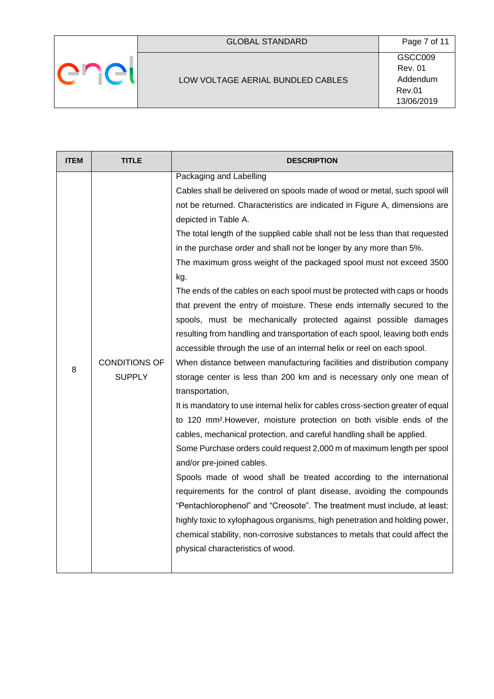# LOW VOLTAGE AERIAL BUNDLED CABLES

enel

GSCC009 Rev. 01 Addendum Rev.01 13/06/2019

| <b>ITEM</b> | <b>TITLE</b>                          | <b>DESCRIPTION</b>                                                                                                                                                                                                                                                                                                                                                                                                                                                                                                                                                                                                                                                                                                                                                                                                                                                                                                                                                                                                                                                                                                                                                                                                                                                                                                                                                                                                                                                                                                                                                                                                                                                                                                                                            |
|-------------|---------------------------------------|---------------------------------------------------------------------------------------------------------------------------------------------------------------------------------------------------------------------------------------------------------------------------------------------------------------------------------------------------------------------------------------------------------------------------------------------------------------------------------------------------------------------------------------------------------------------------------------------------------------------------------------------------------------------------------------------------------------------------------------------------------------------------------------------------------------------------------------------------------------------------------------------------------------------------------------------------------------------------------------------------------------------------------------------------------------------------------------------------------------------------------------------------------------------------------------------------------------------------------------------------------------------------------------------------------------------------------------------------------------------------------------------------------------------------------------------------------------------------------------------------------------------------------------------------------------------------------------------------------------------------------------------------------------------------------------------------------------------------------------------------------------|
| 8           | <b>CONDITIONS OF</b><br><b>SUPPLY</b> | Packaging and Labelling<br>Cables shall be delivered on spools made of wood or metal, such spool will<br>not be returned. Characteristics are indicated in Figure A, dimensions are<br>depicted in Table A.<br>The total length of the supplied cable shall not be less than that requested<br>in the purchase order and shall not be longer by any more than 5%.<br>The maximum gross weight of the packaged spool must not exceed 3500<br>kg.<br>The ends of the cables on each spool must be protected with caps or hoods<br>that prevent the entry of moisture. These ends internally secured to the<br>spools, must be mechanically protected against possible damages<br>resulting from handling and transportation of each spool, leaving both ends<br>accessible through the use of an internal helix or reel on each spool.<br>When distance between manufacturing facilities and distribution company<br>storage center is less than 200 km and is necessary only one mean of<br>transportation,<br>It is mandatory to use internal helix for cables cross-section greater of equal<br>to 120 mm <sup>2</sup> . However, moisture protection on both visible ends of the<br>cables, mechanical protection, and careful handling shall be applied.<br>Some Purchase orders could request 2,000 m of maximum length per spool<br>and/or pre-joined cables.<br>Spools made of wood shall be treated according to the international<br>requirements for the control of plant disease, avoiding the compounds<br>"Pentachlorophenol" and "Creosote". The treatment must include, at least:<br>highly toxic to xylophagous organisms, high penetration and holding power,<br>chemical stability, non-corrosive substances to metals that could affect the |
|             |                                       | physical characteristics of wood.                                                                                                                                                                                                                                                                                                                                                                                                                                                                                                                                                                                                                                                                                                                                                                                                                                                                                                                                                                                                                                                                                                                                                                                                                                                                                                                                                                                                                                                                                                                                                                                                                                                                                                                             |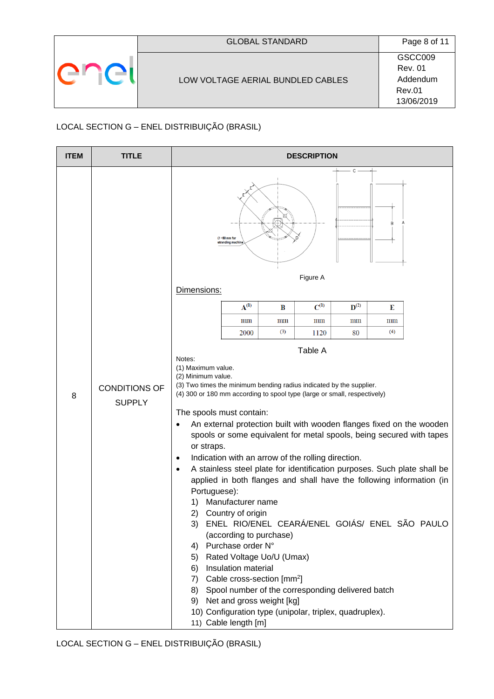| <b>GLOBAL STANDARD</b>            | Page 8 of 11   |
|-----------------------------------|----------------|
|                                   | GSCC009        |
|                                   | <b>Rev. 01</b> |
| LOW VOLTAGE AERIAL BUNDLED CABLES | Addendum       |
|                                   | Rev.01         |
|                                   | 13/06/2019     |

# LOCAL SECTION G – ENEL DISTRIBUIÇÃO (BRASIL)

| <b>ITEM</b> | <b>TITLE</b>                          | <b>DESCRIPTION</b>                                                                                                                                                                                                                                                                                                                                                                                                                                                                                                                                                                                                                                                                                                                                                                                                                                                                                                                                                                                                                                                                                                                               |
|-------------|---------------------------------------|--------------------------------------------------------------------------------------------------------------------------------------------------------------------------------------------------------------------------------------------------------------------------------------------------------------------------------------------------------------------------------------------------------------------------------------------------------------------------------------------------------------------------------------------------------------------------------------------------------------------------------------------------------------------------------------------------------------------------------------------------------------------------------------------------------------------------------------------------------------------------------------------------------------------------------------------------------------------------------------------------------------------------------------------------------------------------------------------------------------------------------------------------|
|             |                                       | C<br>B<br>$\varnothing$ =50 mm for<br>stranding machin<br>Figure A<br>Dimensions:                                                                                                                                                                                                                                                                                                                                                                                                                                                                                                                                                                                                                                                                                                                                                                                                                                                                                                                                                                                                                                                                |
|             |                                       | $C^{(1)}$<br>$A^{(1)}$<br>$\mathbf{D}^{(2)}$<br>B<br>Е                                                                                                                                                                                                                                                                                                                                                                                                                                                                                                                                                                                                                                                                                                                                                                                                                                                                                                                                                                                                                                                                                           |
|             |                                       | mm<br>$_{\text{mm}}$<br>$\text{mm}$<br>$\text{mm}$<br>mm                                                                                                                                                                                                                                                                                                                                                                                                                                                                                                                                                                                                                                                                                                                                                                                                                                                                                                                                                                                                                                                                                         |
|             |                                       | (3)<br>(4)<br>2000<br>1120<br>80                                                                                                                                                                                                                                                                                                                                                                                                                                                                                                                                                                                                                                                                                                                                                                                                                                                                                                                                                                                                                                                                                                                 |
| 8           | <b>CONDITIONS OF</b><br><b>SUPPLY</b> | Table A<br>Notes:<br>(1) Maximum value.<br>(2) Minimum value.<br>(3) Two times the minimum bending radius indicated by the supplier.<br>(4) 300 or 180 mm according to spool type (large or small, respectively)<br>The spools must contain:<br>An external protection built with wooden flanges fixed on the wooden<br>$\bullet$<br>spools or some equivalent for metal spools, being secured with tapes<br>or straps.<br>Indication with an arrow of the rolling direction.<br>$\bullet$<br>A stainless steel plate for identification purposes. Such plate shall be<br>$\bullet$<br>applied in both flanges and shall have the following information (in<br>Portuguese):<br>Manufacturer name<br>1)<br>2)<br>Country of origin<br>ENEL RIO/ENEL CEARÁ/ENEL GOIÁS/ ENEL SÃO PAULO<br>3)<br>(according to purchase)<br>Purchase order N°<br>4)<br>Rated Voltage Uo/U (Umax)<br>5)<br>Insulation material<br>6)<br>Cable cross-section [mm <sup>2</sup> ]<br>7)<br>Spool number of the corresponding delivered batch<br>8)<br>Net and gross weight [kg]<br>9)<br>10) Configuration type (unipolar, triplex, quadruplex).<br>11) Cable length [m] |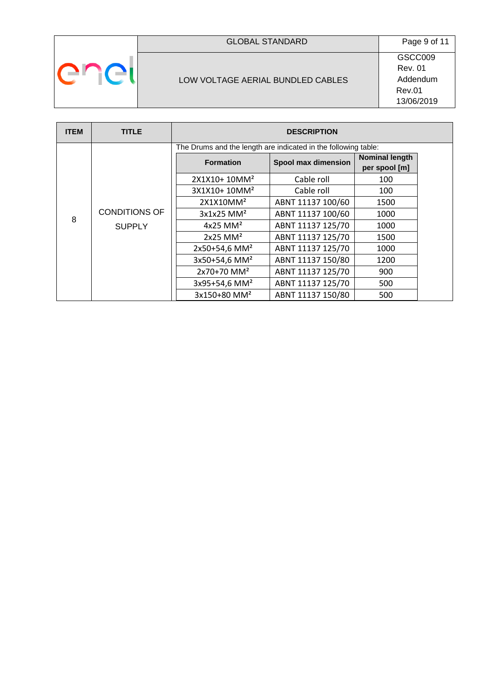| L. |
|----|
|----|

# GLOBAL STANDARD Page 9 of 11

## LOW VOLTAGE AERIAL BUNDLED CABLES

GSCC009 Rev. 01 Addendum Rev.01 13/06/2019

| <b>ITEM</b> | <b>TITLE</b>         |                                                                | <b>DESCRIPTION</b>  |                       |  |
|-------------|----------------------|----------------------------------------------------------------|---------------------|-----------------------|--|
|             |                      | The Drums and the length are indicated in the following table: |                     |                       |  |
|             |                      | <b>Formation</b>                                               | Spool max dimension | <b>Nominal length</b> |  |
|             |                      |                                                                |                     | per spool [m]         |  |
|             |                      | 2X1X10+10MM <sup>2</sup>                                       | Cable roll          | 100                   |  |
|             |                      | 3X1X10+10MM <sup>2</sup>                                       | Cable roll          | 100                   |  |
|             |                      | 2X1X10MM <sup>2</sup>                                          | ABNT 11137 100/60   | 1500                  |  |
| 8           | <b>CONDITIONS OF</b> | $3x1x25$ MM <sup>2</sup>                                       | ABNT 11137 100/60   | 1000                  |  |
|             | <b>SUPPLY</b>        | $4x25$ MM <sup>2</sup>                                         | ABNT 11137 125/70   | 1000                  |  |
|             |                      | $2x25$ MM <sup>2</sup>                                         | ABNT 11137 125/70   | 1500                  |  |
|             |                      | 2x50+54,6 MM <sup>2</sup>                                      | ABNT 11137 125/70   | 1000                  |  |
|             |                      | 3x50+54,6 MM <sup>2</sup>                                      | ABNT 11137 150/80   | 1200                  |  |
|             |                      | $2x70+70$ MM <sup>2</sup>                                      | ABNT 11137 125/70   | 900                   |  |
|             |                      | 3x95+54,6 MM <sup>2</sup>                                      | ABNT 11137 125/70   | 500                   |  |
|             |                      | 3x150+80 MM <sup>2</sup>                                       | ABNT 11137 150/80   | 500                   |  |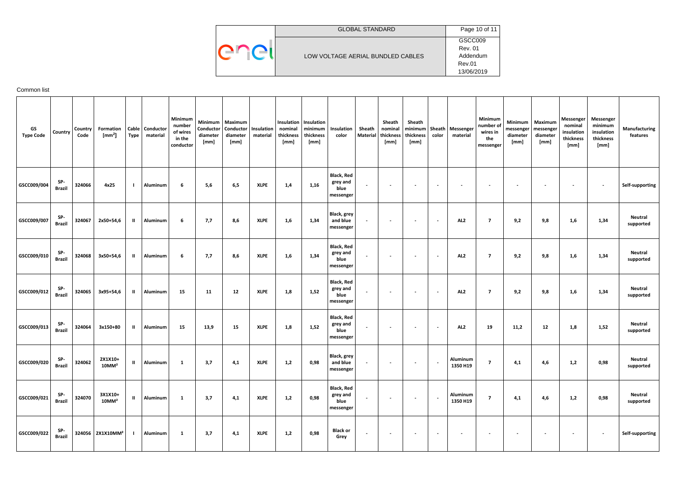|     | <b>GLOBAL STANDARD</b>            | Page 10 of 11  |
|-----|-----------------------------------|----------------|
|     |                                   | GSCC009        |
| enc |                                   | <b>Rev. 01</b> |
|     | LOW VOLTAGE AERIAL BUNDLED CABLES | Addendum       |
|     |                                   | Rev.01         |
|     |                                   | 13/06/2019     |

## <span id="page-9-0"></span>Common list

| GS<br><b>Type Code</b> | <b>Country</b>       | Country<br>Code | Formation<br>$\text{[mm}^2$     | <b>Type</b>   | Cable   Conductor<br>material | Minimum<br>number<br>of wires<br>in the<br>conductor | Conductor<br>diameter<br>[mm] | Minimum   Maximum<br>Conductor<br>diameter<br>[mm] | Insulation<br>material | nominal<br>thickness<br>[mm] | Insulation   Insulation<br>minimum<br>thickness<br>[mm] | Insulation<br>color                                | Sheath<br><b>Material</b> | Sheath<br>nominal<br>thickness<br>[mm] | Sheath<br>thickness<br>[mm] | color  | minimum   Sheath   Messenger<br>material | Minimum<br>number of<br>wires in<br>the<br>messenger | Minimum<br>diameter<br>[mm] | Maximum<br>messenger   messenger<br>diameter<br>[mm] | Messenger<br>nominal<br>insulation<br>thickness<br>[mm] | Messenger<br>minimum<br>insulation<br>thickness<br>[mm] | Manufacturing<br>features   |
|------------------------|----------------------|-----------------|---------------------------------|---------------|-------------------------------|------------------------------------------------------|-------------------------------|----------------------------------------------------|------------------------|------------------------------|---------------------------------------------------------|----------------------------------------------------|---------------------------|----------------------------------------|-----------------------------|--------|------------------------------------------|------------------------------------------------------|-----------------------------|------------------------------------------------------|---------------------------------------------------------|---------------------------------------------------------|-----------------------------|
| GSCC009/004            | SP-<br><b>Brazil</b> | 324066          | 4x25                            |               | Aluminum                      | 6                                                    | 5,6                           | 6,5                                                | <b>XLPE</b>            | 1,4                          | 1,16                                                    | <b>Black, Red</b><br>grey and<br>blue<br>messenger | $\sim$                    |                                        | $\overline{\phantom{a}}$    |        |                                          |                                                      |                             |                                                      | $\sim$                                                  | $\sim$                                                  | Self-supporting             |
| GSCC009/007            | SP-<br><b>Brazil</b> | 324067          | 2x50+54,6                       | $\mathbf{II}$ | Aluminum                      | 6                                                    | 7,7                           | 8,6                                                | <b>XLPE</b>            | 1,6                          | 1,34                                                    | Black, grey<br>and blue<br>messenger               | $\sim$                    |                                        | $\overline{\phantom{a}}$    | $\sim$ | AL <sub>2</sub>                          | $\overline{7}$                                       | 9,2                         | 9,8                                                  | 1,6                                                     | 1,34                                                    | <b>Neutral</b><br>supported |
| GSCC009/010            | SP-<br><b>Brazil</b> | 324068          | 3x50+54,6                       | $\mathbf{u}$  | Aluminum                      | 6                                                    | 7,7                           | 8,6                                                | <b>XLPE</b>            | 1,6                          | 1,34                                                    | <b>Black, Red</b><br>grey and<br>blue<br>messenger | $\overline{\phantom{a}}$  |                                        | $\overline{\phantom{a}}$    |        | AL <sub>2</sub>                          | $\overline{7}$                                       | 9,2                         | 9,8                                                  | 1,6                                                     | 1,34                                                    | <b>Neutral</b><br>supported |
| GSCC009/012            | SP-<br><b>Brazil</b> | 324065          | 3x95+54,6                       | $\mathbf{II}$ | Aluminum                      | 15                                                   | 11                            | 12                                                 | <b>XLPE</b>            | 1,8                          | 1,52                                                    | <b>Black, Red</b><br>grey and<br>blue<br>messenger | $\overline{\phantom{a}}$  |                                        | $\overline{\phantom{a}}$    |        | AL <sub>2</sub>                          | $\overline{7}$                                       | 9,2                         | 9,8                                                  | 1,6                                                     | 1,34                                                    | Neutral<br>supported        |
| GSCC009/013            | SP-<br><b>Brazil</b> | 324064          | 3x150+80                        | $\mathbf{H}$  | Aluminum                      | 15                                                   | 13,9                          | 15                                                 | <b>XLPE</b>            | 1,8                          | 1,52                                                    | <b>Black, Red</b><br>grey and<br>blue<br>messenger | $\sim$                    |                                        | $\sim$                      | $\sim$ | AL <sub>2</sub>                          | 19                                                   | 11,2                        | 12                                                   | 1,8                                                     | 1,52                                                    | Neutral<br>supported        |
| GSCC009/020            | SP-<br><b>Brazil</b> | 324062          | 2X1X10+<br>$10$ MM <sup>2</sup> | $\mathbf{u}$  | <b>Aluminum</b>               | 1                                                    | 3,7                           | 4,1                                                | XLPE                   | 1,2                          | 0,98                                                    | <b>Black, grey</b><br>and blue<br>messenger        |                           | $\overline{\phantom{a}}$               | $\sim$                      |        | Aluminum<br>1350 H19                     | 7                                                    | 4,1                         | 4,6                                                  | 1,2                                                     | 0,98                                                    | <b>Neutral</b><br>supported |
| GSCC009/021            | SP-<br><b>Brazil</b> | 324070          | 3X1X10+<br>$10$ MM $^2$         | $\mathbf{II}$ | Aluminum                      | 1                                                    | 3,7                           | 4,1                                                | <b>XLPE</b>            | 1,2                          | 0,98                                                    | <b>Black, Red</b><br>grey and<br>blue<br>messenger | $\overline{\phantom{a}}$  | $\overline{\phantom{a}}$               | $\sim$                      |        | Aluminum<br>1350 H19                     | $\overline{\mathbf{z}}$                              | 4,1                         | 4,6                                                  | 1,2                                                     | 0,98                                                    | <b>Neutral</b><br>supported |
| GSCC009/022            | SP-<br><b>Brazil</b> |                 | 324056 2X1X10MM <sup>2</sup>    |               | Aluminum                      | 1                                                    | 3,7                           | 4,1                                                | <b>XLPE</b>            | 1,2                          | 0,98                                                    | <b>Black or</b><br>Grey                            | $\sim$                    | $\sim$                                 | $\overline{\phantom{a}}$    | $\sim$ | $\overline{\phantom{a}}$                 | $\sim$                                               | $\overline{\phantom{a}}$    | $\overline{\phantom{a}}$                             | $\sim$                                                  | $\sim$                                                  | Self-supporting             |